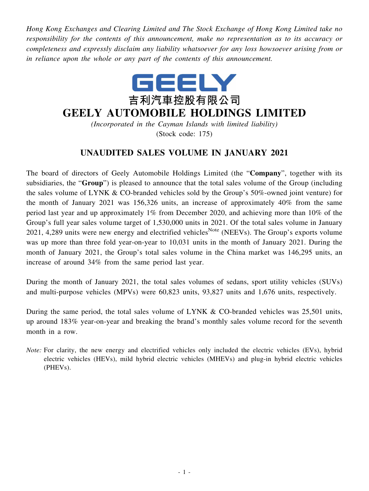*Hong Kong Exchanges and Clearing Limited and The Stock Exchange of Hong Kong Limited take no responsibility for the contents of this announcement, make no representation as to its accuracy or completeness and expressly disclaim any liability whatsoever for any loss howsoever arising from or in reliance upon the whole or any part of the contents of this announcement.*



## **GEELY AUTOMOBILE HOLDINGS LIMITED**

*(Incorporated in the Cayman Islands with limited liability)* (Stock code: 175)

## **UNAUDITED SALES VOLUME IN JANUARY 2021**

The board of directors of Geely Automobile Holdings Limited (the "**Company**", together with its subsidiaries, the "**Group**") is pleased to announce that the total sales volume of the Group (including the sales volume of LYNK & CO-branded vehicles sold by the Group's 50%-owned joint venture) for the month of January 2021 was 156,326 units, an increase of approximately 40% from the same period last year and up approximately 1% from December 2020, and achieving more than 10% of the Group's full year sales volume target of 1,530,000 units in 2021. Of the total sales volume in January 2021, 4,289 units were new energy and electrified vehicles<sup>Note</sup> (NEEVs). The Group's exports volume was up more than three fold year-on-year to 10,031 units in the month of January 2021. During the month of January 2021, the Group's total sales volume in the China market was 146,295 units, an increase of around 34% from the same period last year.

During the month of January 2021, the total sales volumes of sedans, sport utility vehicles (SUVs) and multi-purpose vehicles (MPVs) were 60,823 units, 93,827 units and 1,676 units, respectively.

During the same period, the total sales volume of LYNK & CO-branded vehicles was 25,501 units, up around 183% year-on-year and breaking the brand's monthly sales volume record for the seventh month in a row.

*Note:* For clarity, the new energy and electrified vehicles only included the electric vehicles (EVs), hybrid electric vehicles (HEVs), mild hybrid electric vehicles (MHEVs) and plug-in hybrid electric vehicles (PHEVs).